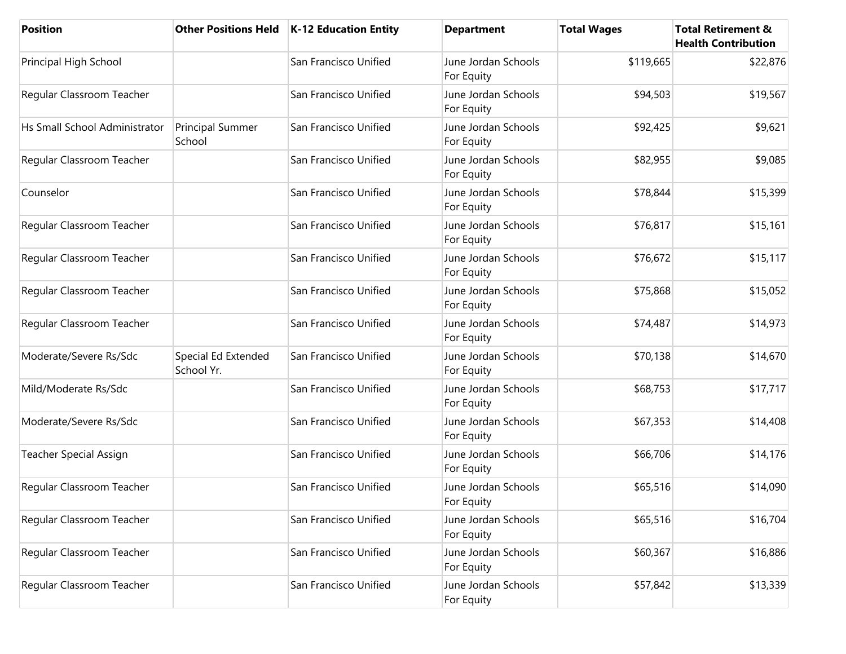| <b>Position</b>                      | <b>Other Positions Held</b>       | <b>K-12 Education Entity</b> | <b>Department</b>                 | <b>Total Wages</b> | <b>Total Retirement &amp;</b><br><b>Health Contribution</b> |
|--------------------------------------|-----------------------------------|------------------------------|-----------------------------------|--------------------|-------------------------------------------------------------|
| Principal High School                |                                   | San Francisco Unified        | June Jordan Schools<br>For Equity | \$119,665          | \$22,876                                                    |
| Regular Classroom Teacher            |                                   | San Francisco Unified        | June Jordan Schools<br>For Equity | \$94,503           | \$19,567                                                    |
| <b>Hs Small School Administrator</b> | Principal Summer<br>School        | San Francisco Unified        | June Jordan Schools<br>For Equity | \$92,425           | \$9,621                                                     |
| Regular Classroom Teacher            |                                   | San Francisco Unified        | June Jordan Schools<br>For Equity | \$82,955           | \$9,085                                                     |
| Counselor                            |                                   | San Francisco Unified        | June Jordan Schools<br>For Equity | \$78,844           | \$15,399                                                    |
| Regular Classroom Teacher            |                                   | San Francisco Unified        | June Jordan Schools<br>For Equity | \$76,817           | \$15,161                                                    |
| Regular Classroom Teacher            |                                   | San Francisco Unified        | June Jordan Schools<br>For Equity | \$76,672           | \$15,117                                                    |
| Regular Classroom Teacher            |                                   | San Francisco Unified        | June Jordan Schools<br>For Equity | \$75,868           | \$15,052                                                    |
| Regular Classroom Teacher            |                                   | San Francisco Unified        | June Jordan Schools<br>For Equity | \$74,487           | \$14,973                                                    |
| Moderate/Severe Rs/Sdc               | Special Ed Extended<br>School Yr. | San Francisco Unified        | June Jordan Schools<br>For Equity | \$70,138           | \$14,670                                                    |
| Mild/Moderate Rs/Sdc                 |                                   | San Francisco Unified        | June Jordan Schools<br>For Equity | \$68,753           | \$17,717                                                    |
| Moderate/Severe Rs/Sdc               |                                   | San Francisco Unified        | June Jordan Schools<br>For Equity | \$67,353           | \$14,408                                                    |
| Teacher Special Assign               |                                   | San Francisco Unified        | June Jordan Schools<br>For Equity | \$66,706           | \$14,176                                                    |
| Regular Classroom Teacher            |                                   | San Francisco Unified        | June Jordan Schools<br>For Equity | \$65,516           | \$14,090                                                    |
| Regular Classroom Teacher            |                                   | San Francisco Unified        | June Jordan Schools<br>For Equity | \$65,516           | \$16,704                                                    |
| Regular Classroom Teacher            |                                   | San Francisco Unified        | June Jordan Schools<br>For Equity | \$60,367           | \$16,886                                                    |
| Regular Classroom Teacher            |                                   | San Francisco Unified        | June Jordan Schools<br>For Equity | \$57,842           | \$13,339                                                    |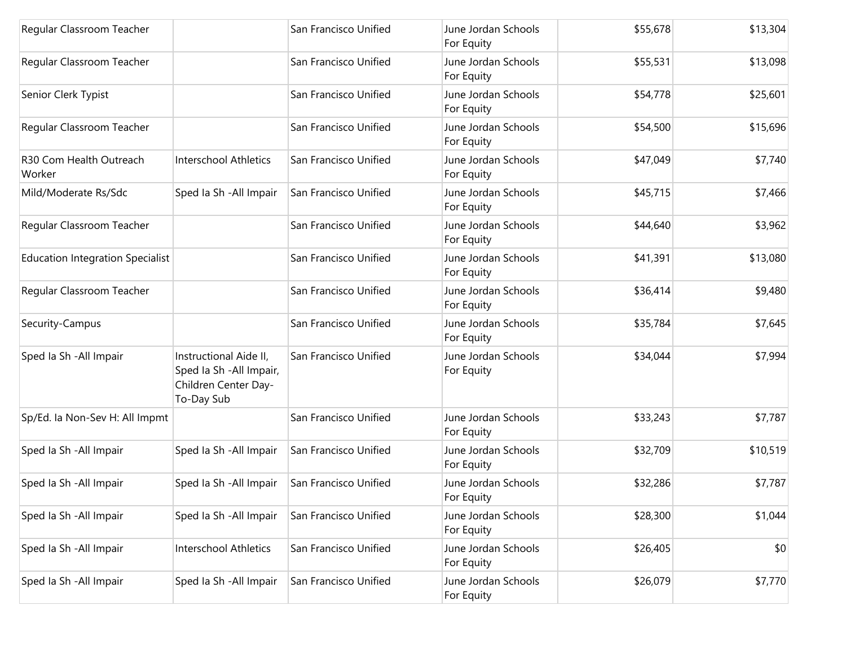| Regular Classroom Teacher               |                                                                                          | San Francisco Unified | June Jordan Schools<br>For Equity | \$55,678 | \$13,304 |
|-----------------------------------------|------------------------------------------------------------------------------------------|-----------------------|-----------------------------------|----------|----------|
| Regular Classroom Teacher               |                                                                                          | San Francisco Unified | June Jordan Schools<br>For Equity | \$55,531 | \$13,098 |
| Senior Clerk Typist                     |                                                                                          | San Francisco Unified | June Jordan Schools<br>For Equity | \$54,778 | \$25,601 |
| Regular Classroom Teacher               |                                                                                          | San Francisco Unified | June Jordan Schools<br>For Equity | \$54,500 | \$15,696 |
| R30 Com Health Outreach<br>Worker       | <b>Interschool Athletics</b>                                                             | San Francisco Unified | June Jordan Schools<br>For Equity | \$47,049 | \$7,740  |
| Mild/Moderate Rs/Sdc                    | Sped Ia Sh - All Impair                                                                  | San Francisco Unified | June Jordan Schools<br>For Equity | \$45,715 | \$7,466  |
| Regular Classroom Teacher               |                                                                                          | San Francisco Unified | June Jordan Schools<br>For Equity | \$44,640 | \$3,962  |
| <b>Education Integration Specialist</b> |                                                                                          | San Francisco Unified | June Jordan Schools<br>For Equity | \$41,391 | \$13,080 |
| Regular Classroom Teacher               |                                                                                          | San Francisco Unified | June Jordan Schools<br>For Equity | \$36,414 | \$9,480  |
| Security-Campus                         |                                                                                          | San Francisco Unified | June Jordan Schools<br>For Equity | \$35,784 | \$7,645  |
| Sped Ia Sh - All Impair                 | Instructional Aide II,<br>Sped Ia Sh - All Impair,<br>Children Center Day-<br>To-Day Sub | San Francisco Unified | June Jordan Schools<br>For Equity | \$34,044 | \$7,994  |
| Sp/Ed. Ia Non-Sev H: All Impmt          |                                                                                          | San Francisco Unified | June Jordan Schools<br>For Equity | \$33,243 | \$7,787  |
| Sped Ia Sh - All Impair                 | Sped Ia Sh - All Impair                                                                  | San Francisco Unified | June Jordan Schools<br>For Equity | \$32,709 | \$10,519 |
| Sped Ia Sh - All Impair                 | Sped Ia Sh - All Impair                                                                  | San Francisco Unified | June Jordan Schools<br>For Equity | \$32,286 | \$7,787  |
| Sped Ia Sh - All Impair                 | Sped Ia Sh - All Impair                                                                  | San Francisco Unified | June Jordan Schools<br>For Equity | \$28,300 | \$1,044  |
| Sped la Sh - All Impair                 | Interschool Athletics                                                                    | San Francisco Unified | June Jordan Schools<br>For Equity | \$26,405 | \$0      |
| Sped Ia Sh - All Impair                 | Sped Ia Sh - All Impair                                                                  | San Francisco Unified | June Jordan Schools<br>For Equity | \$26,079 | \$7,770  |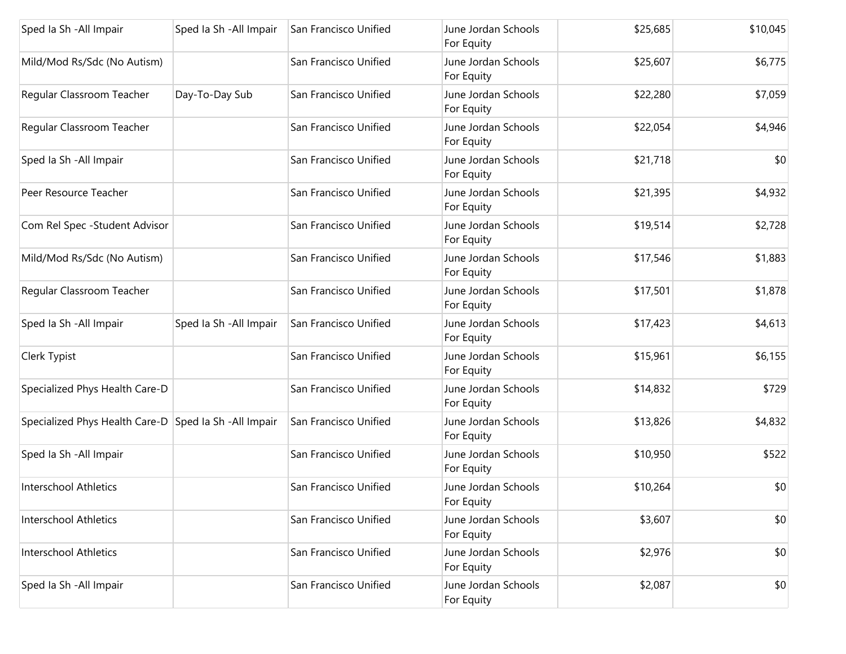| Sped Ia Sh - All Impair                               | Sped Ia Sh - All Impair | San Francisco Unified | June Jordan Schools<br>For Equity | \$25,685 | \$10,045 |
|-------------------------------------------------------|-------------------------|-----------------------|-----------------------------------|----------|----------|
| Mild/Mod Rs/Sdc (No Autism)                           |                         | San Francisco Unified | June Jordan Schools<br>For Equity | \$25,607 | \$6,775  |
| Regular Classroom Teacher                             | Day-To-Day Sub          | San Francisco Unified | June Jordan Schools<br>For Equity | \$22,280 | \$7,059  |
| Regular Classroom Teacher                             |                         | San Francisco Unified | June Jordan Schools<br>For Equity | \$22,054 | \$4,946  |
| Sped Ia Sh - All Impair                               |                         | San Francisco Unified | June Jordan Schools<br>For Equity | \$21,718 | \$0      |
| Peer Resource Teacher                                 |                         | San Francisco Unified | June Jordan Schools<br>For Equity | \$21,395 | \$4,932  |
| Com Rel Spec - Student Advisor                        |                         | San Francisco Unified | June Jordan Schools<br>For Equity | \$19,514 | \$2,728  |
| Mild/Mod Rs/Sdc (No Autism)                           |                         | San Francisco Unified | June Jordan Schools<br>For Equity | \$17,546 | \$1,883  |
| Regular Classroom Teacher                             |                         | San Francisco Unified | June Jordan Schools<br>For Equity | \$17,501 | \$1,878  |
| Sped Ia Sh - All Impair                               | Sped Ia Sh - All Impair | San Francisco Unified | June Jordan Schools<br>For Equity | \$17,423 | \$4,613  |
| Clerk Typist                                          |                         | San Francisco Unified | June Jordan Schools<br>For Equity | \$15,961 | \$6,155  |
| Specialized Phys Health Care-D                        |                         | San Francisco Unified | June Jordan Schools<br>For Equity | \$14,832 | \$729    |
| Specialized Phys Health Care-D Sped la Sh -All Impair |                         | San Francisco Unified | June Jordan Schools<br>For Equity | \$13,826 | \$4,832  |
| Sped Ia Sh - All Impair                               |                         | San Francisco Unified | June Jordan Schools<br>For Equity | \$10,950 | \$522    |
| <b>Interschool Athletics</b>                          |                         | San Francisco Unified | June Jordan Schools<br>For Equity | \$10,264 | \$0      |
| <b>Interschool Athletics</b>                          |                         | San Francisco Unified | June Jordan Schools<br>For Equity | \$3,607  | \$0      |
| <b>Interschool Athletics</b>                          |                         | San Francisco Unified | June Jordan Schools<br>For Equity | \$2,976  | \$0      |
| Sped Ia Sh - All Impair                               |                         | San Francisco Unified | June Jordan Schools<br>For Equity | \$2,087  | \$0      |